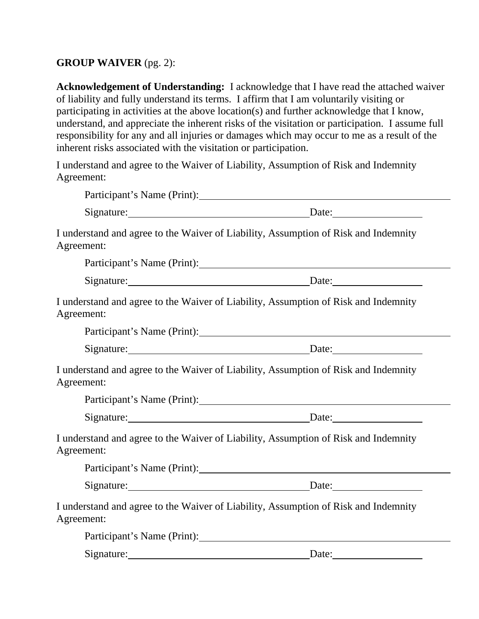## **GROUP WAIVER** (pg. 2):

**Acknowledgement of Understanding:** I acknowledge that I have read the attached waiver of liability and fully understand its terms. I affirm that I am voluntarily visiting or participating in activities at the above location(s) and further acknowledge that I know, understand, and appreciate the inherent risks of the visitation or participation. I assume full responsibility for any and all injuries or damages which may occur to me as a result of the inherent risks associated with the visitation or participation.

I understand and agree to the Waiver of Liability, Assumption of Risk and Indemnity Agreement:

|                             | Participant's Name (Print):                                                                                                                                                                                                   |
|-----------------------------|-------------------------------------------------------------------------------------------------------------------------------------------------------------------------------------------------------------------------------|
|                             | Signature: Date: Date:                                                                                                                                                                                                        |
| Agreement:                  | I understand and agree to the Waiver of Liability, Assumption of Risk and Indemnity                                                                                                                                           |
|                             | Participant's Name (Print):                                                                                                                                                                                                   |
|                             | Signature: Date: Date:                                                                                                                                                                                                        |
| Agreement:                  | I understand and agree to the Waiver of Liability, Assumption of Risk and Indemnity                                                                                                                                           |
|                             |                                                                                                                                                                                                                               |
|                             | Signature: Date: Date:                                                                                                                                                                                                        |
| Agreement:                  | I understand and agree to the Waiver of Liability, Assumption of Risk and Indemnity                                                                                                                                           |
|                             |                                                                                                                                                                                                                               |
|                             | Signature: Date: Date:                                                                                                                                                                                                        |
| Agreement:                  | I understand and agree to the Waiver of Liability, Assumption of Risk and Indemnity                                                                                                                                           |
|                             | Participant's Name (Print): 2008 and 2008 and 2008 and 2008 and 2008 and 2008 and 2008 and 2008 and 2008 and 2008 and 2008 and 2008 and 2008 and 2008 and 2008 and 2008 and 2008 and 2008 and 2008 and 2008 and 2008 and 2008 |
|                             | Signature: Date: Date:                                                                                                                                                                                                        |
| Agreement:                  | I understand and agree to the Waiver of Liability, Assumption of Risk and Indemnity                                                                                                                                           |
| Participant's Name (Print): |                                                                                                                                                                                                                               |
| Signature:                  | Date:                                                                                                                                                                                                                         |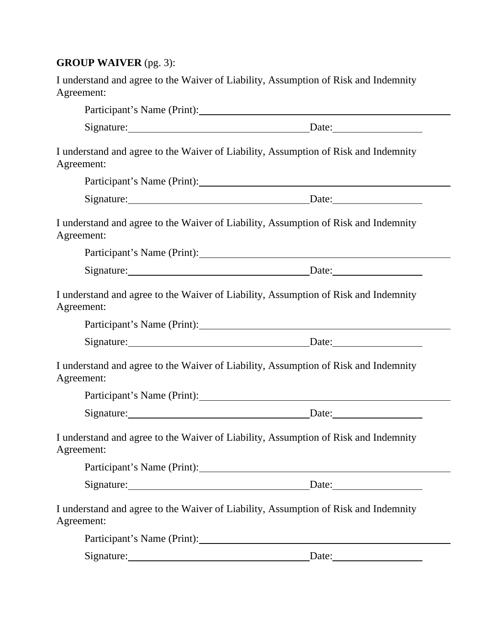## **GROUP WAIVER** (pg. 3):

| I understand and agree to the Waiver of Liability, Assumption of Risk and Indemnity |  |
|-------------------------------------------------------------------------------------|--|
| Agreement:                                                                          |  |

| Signature: Date: Date:                                                                            |  |  |
|---------------------------------------------------------------------------------------------------|--|--|
| I understand and agree to the Waiver of Liability, Assumption of Risk and Indemnity<br>Agreement: |  |  |
|                                                                                                   |  |  |
| Signature: Date: Date:                                                                            |  |  |
| I understand and agree to the Waiver of Liability, Assumption of Risk and Indemnity<br>Agreement: |  |  |
| Participant's Name (Print): 1998                                                                  |  |  |
| Signature: Date: Date:                                                                            |  |  |
| I understand and agree to the Waiver of Liability, Assumption of Risk and Indemnity<br>Agreement: |  |  |
| Participant's Name (Print): 2008. [2016]                                                          |  |  |
| Signature: Date: Date:                                                                            |  |  |
| I understand and agree to the Waiver of Liability, Assumption of Risk and Indemnity<br>Agreement: |  |  |
| Participant's Name (Print): 1996                                                                  |  |  |
| Signature: Date: Date:                                                                            |  |  |
| I understand and agree to the Waiver of Liability, Assumption of Risk and Indemnity<br>Agreement: |  |  |
|                                                                                                   |  |  |
| $\text{Date:}$                                                                                    |  |  |
| I understand and agree to the Waiver of Liability, Assumption of Risk and Indemnity<br>Agreement: |  |  |
| Participant's Name (Print):                                                                       |  |  |

Signature: Date: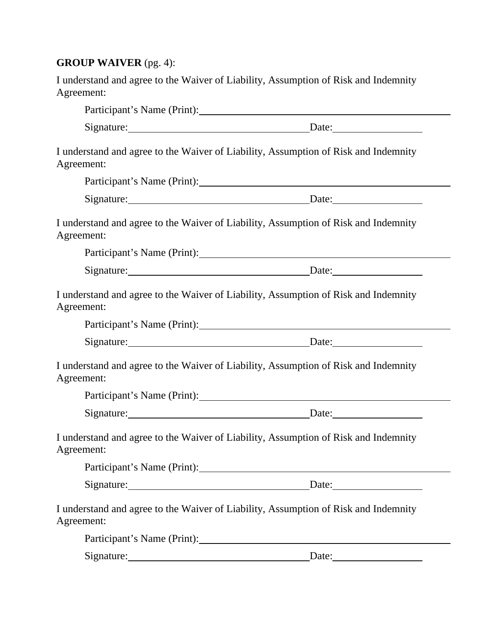## **GROUP WAIVER** (pg. 4):

| I understand and agree to the Waiver of Liability, Assumption of Risk and Indemnity |  |
|-------------------------------------------------------------------------------------|--|
| Agreement:                                                                          |  |

|                                                                                                   | Signature: Date: Date:                   |  |
|---------------------------------------------------------------------------------------------------|------------------------------------------|--|
| I understand and agree to the Waiver of Liability, Assumption of Risk and Indemnity<br>Agreement: |                                          |  |
|                                                                                                   |                                          |  |
|                                                                                                   | Signature: Date: Date:                   |  |
| I understand and agree to the Waiver of Liability, Assumption of Risk and Indemnity<br>Agreement: |                                          |  |
|                                                                                                   | Participant's Name (Print): 2008. [2016] |  |
|                                                                                                   | Signature: Date: Date:                   |  |
| I understand and agree to the Waiver of Liability, Assumption of Risk and Indemnity<br>Agreement: |                                          |  |
| Participant's Name (Print): 2008. [2016]                                                          |                                          |  |
|                                                                                                   | Signature: Date: Date:                   |  |
| I understand and agree to the Waiver of Liability, Assumption of Risk and Indemnity<br>Agreement: |                                          |  |
|                                                                                                   | Participant's Name (Print): 2008. [2016] |  |
|                                                                                                   | Signature: Date: Date:                   |  |
| I understand and agree to the Waiver of Liability, Assumption of Risk and Indemnity<br>Agreement: |                                          |  |
|                                                                                                   |                                          |  |
|                                                                                                   | Signature: Date: Date:                   |  |
| I understand and agree to the Waiver of Liability, Assumption of Risk and Indemnity<br>Agreement: |                                          |  |
|                                                                                                   |                                          |  |
|                                                                                                   |                                          |  |

Signature: Date: